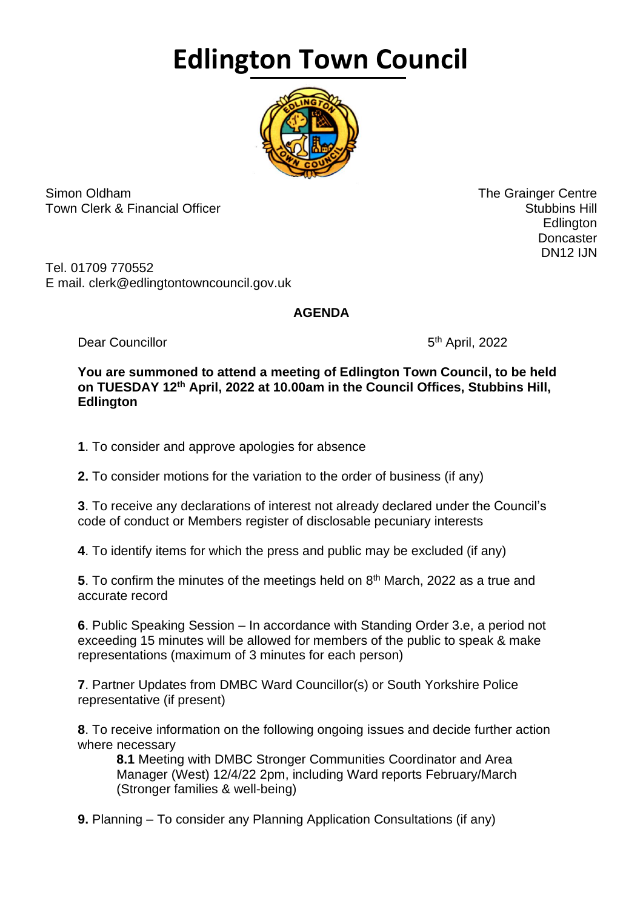## **Edlington Town Council**



Simon Oldham The Grainger Centre Town Clerk & Financial Officer Stubbins Hill and Stubbins Hill and Stubbins Hill and Stubbins Hill and Stubbins Hill

en de la construction de la construction de la construction de la construction de la construction de la constr **Doncaster** DN12 IJN

Tel. 01709 770552 E mail. clerk@edlingtontowncouncil.gov.uk

## **AGENDA**

Dear Councillor

5<sup>th</sup> April, 2022

**You are summoned to attend a meeting of Edlington Town Council, to be held on TUESDAY 12th April, 2022 at 10.00am in the Council Offices, Stubbins Hill, Edlington**

**1**. To consider and approve apologies for absence

**2.** To consider motions for the variation to the order of business (if any)

**3**. To receive any declarations of interest not already declared under the Council's code of conduct or Members register of disclosable pecuniary interests

**4**. To identify items for which the press and public may be excluded (if any)

**5**. To confirm the minutes of the meetings held on 8<sup>th</sup> March, 2022 as a true and accurate record

**6**. Public Speaking Session – In accordance with Standing Order 3.e, a period not exceeding 15 minutes will be allowed for members of the public to speak & make representations (maximum of 3 minutes for each person)

**7**. Partner Updates from DMBC Ward Councillor(s) or South Yorkshire Police representative (if present)

**8**. To receive information on the following ongoing issues and decide further action where necessary

**8.1** Meeting with DMBC Stronger Communities Coordinator and Area Manager (West) 12/4/22 2pm, including Ward reports February/March (Stronger families & well-being)

**9.** Planning – To consider any Planning Application Consultations (if any)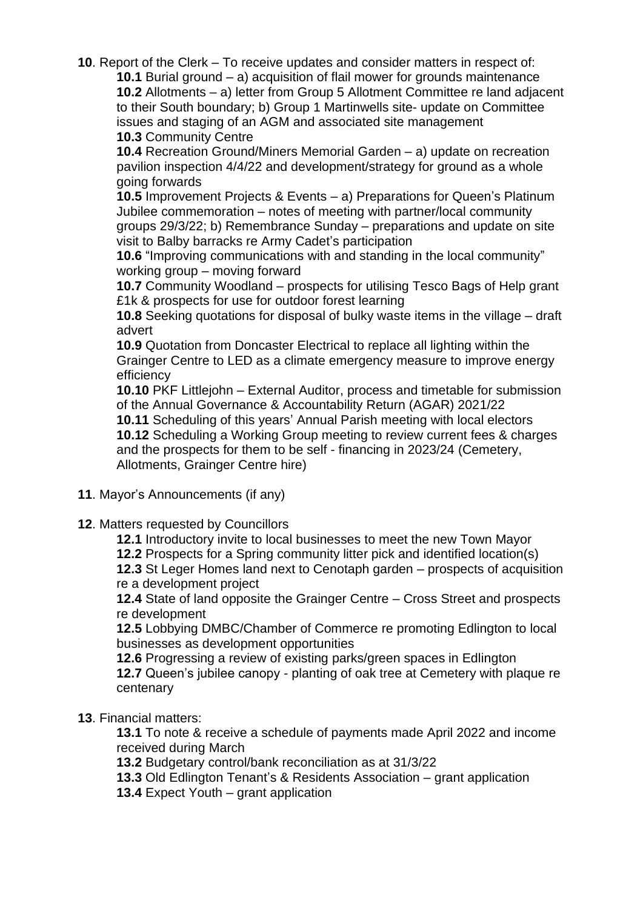**10**. Report of the Clerk – To receive updates and consider matters in respect of: **10.1** Burial ground – a) acquisition of flail mower for grounds maintenance **10.2** Allotments – a) letter from Group 5 Allotment Committee re land adjacent to their South boundary; b) Group 1 Martinwells site- update on Committee issues and staging of an AGM and associated site management **10.3** Community Centre

**10.4** Recreation Ground/Miners Memorial Garden – a) update on recreation pavilion inspection 4/4/22 and development/strategy for ground as a whole going forwards

**10.5** Improvement Projects & Events – a) Preparations for Queen's Platinum Jubilee commemoration – notes of meeting with partner/local community groups 29/3/22; b) Remembrance Sunday – preparations and update on site visit to Balby barracks re Army Cadet's participation

**10.6** "Improving communications with and standing in the local community" working group – moving forward

**10.7** Community Woodland – prospects for utilising Tesco Bags of Help grant £1k & prospects for use for outdoor forest learning

**10.8** Seeking quotations for disposal of bulky waste items in the village – draft advert

**10.9** Quotation from Doncaster Electrical to replace all lighting within the Grainger Centre to LED as a climate emergency measure to improve energy efficiency

**10.10** PKF Littlejohn – External Auditor, process and timetable for submission of the Annual Governance & Accountability Return (AGAR) 2021/22

**10.11** Scheduling of this years' Annual Parish meeting with local electors **10.12** Scheduling a Working Group meeting to review current fees & charges and the prospects for them to be self - financing in 2023/24 (Cemetery, Allotments, Grainger Centre hire)

- **11**. Mayor's Announcements (if any)
- **12**. Matters requested by Councillors

**12.1** Introductory invite to local businesses to meet the new Town Mayor

**12.2** Prospects for a Spring community litter pick and identified location(s)

**12.3** St Leger Homes land next to Cenotaph garden – prospects of acquisition re a development project

**12.4** State of land opposite the Grainger Centre – Cross Street and prospects re development

**12.5** Lobbying DMBC/Chamber of Commerce re promoting Edlington to local businesses as development opportunities

**12.6** Progressing a review of existing parks/green spaces in Edlington

**12.7** Queen's jubilee canopy - planting of oak tree at Cemetery with plaque re centenary

## **13**. Financial matters:

**13.1** To note & receive a schedule of payments made April 2022 and income received during March

**13.2** Budgetary control/bank reconciliation as at 31/3/22

**13.3** Old Edlington Tenant's & Residents Association – grant application

**13.4** Expect Youth – grant application